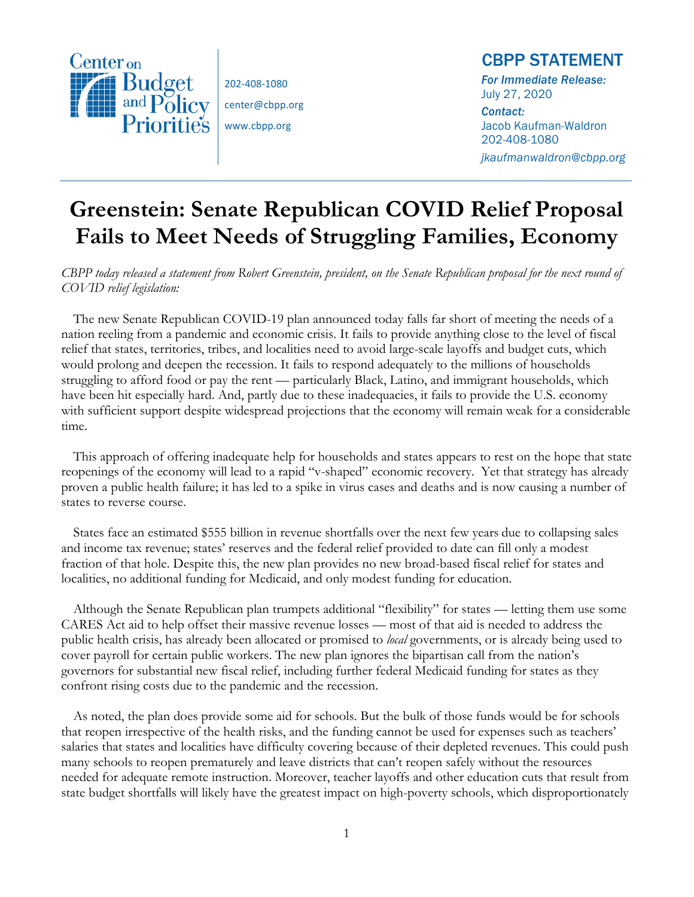

202-408-1080 center@cbpp.org

www.cbpp.org

## CBPP STATEMENT

*For Immediate Release:*  July 27, 2020 *Contact:*  Jacob Kaufman-Waldron 202-408-1080 *jkaufmanwaldron@cbpp.org* 

## **Greenstein: Senate Republican COVID Relief Proposal Fails to Meet Needs of Struggling Families, Economy**

*CBPP today released a statement from Robert Greenstein, president, on the Senate Republican proposal for the next round of COVID relief legislation:*

The new Senate Republican COVID-19 plan announced today falls far short of meeting the needs of a nation reeling from a pandemic and economic crisis. It fails to provide anything close to the level of fiscal relief that states, territories, tribes, and localities need to avoid large-scale layoffs and budget cuts, which would prolong and deepen the recession. It fails to respond adequately to the millions of households struggling to afford food or pay the rent — particularly Black, Latino, and immigrant households, which have been hit especially hard. And, partly due to these inadequacies, it fails to provide the U.S. economy with sufficient support despite widespread projections that the economy will remain weak for a considerable time.

This approach of offering inadequate help for households and states appears to rest on the hope that state reopenings of the economy will lead to a rapid "v-shaped" economic recovery. Yet that strategy has already proven a public health failure; it has led to a spike in virus cases and deaths and is now causing a number of states to reverse course.

States face an estimated \$555 billion in revenue shortfalls over the next few years due to collapsing sales and income tax revenue; states' reserves and the federal relief provided to date can fill only a modest fraction of that hole. Despite this, the new plan provides no new broad-based fiscal relief for states and localities, no additional funding for Medicaid, and only modest funding for education.

Although the Senate Republican plan trumpets additional "flexibility" for states — letting them use some CARES Act aid to help offset their massive revenue losses — most of that aid is needed to address the public health crisis, has already been allocated or promised to *local* governments, or is already being used to cover payroll for certain public workers. The new plan ignores the bipartisan call from the nation's governors for substantial new fiscal relief, including further federal Medicaid funding for states as they confront rising costs due to the pandemic and the recession.

As noted, the plan does provide some aid for schools. But the bulk of those funds would be for schools that reopen irrespective of the health risks, and the funding cannot be used for expenses such as teachers' salaries that states and localities have difficulty covering because of their depleted revenues. This could push many schools to reopen prematurely and leave districts that can't reopen safely without the resources needed for adequate remote instruction. Moreover, teacher layoffs and other education cuts that result from state budget shortfalls will likely have the greatest impact on high-poverty schools, which disproportionately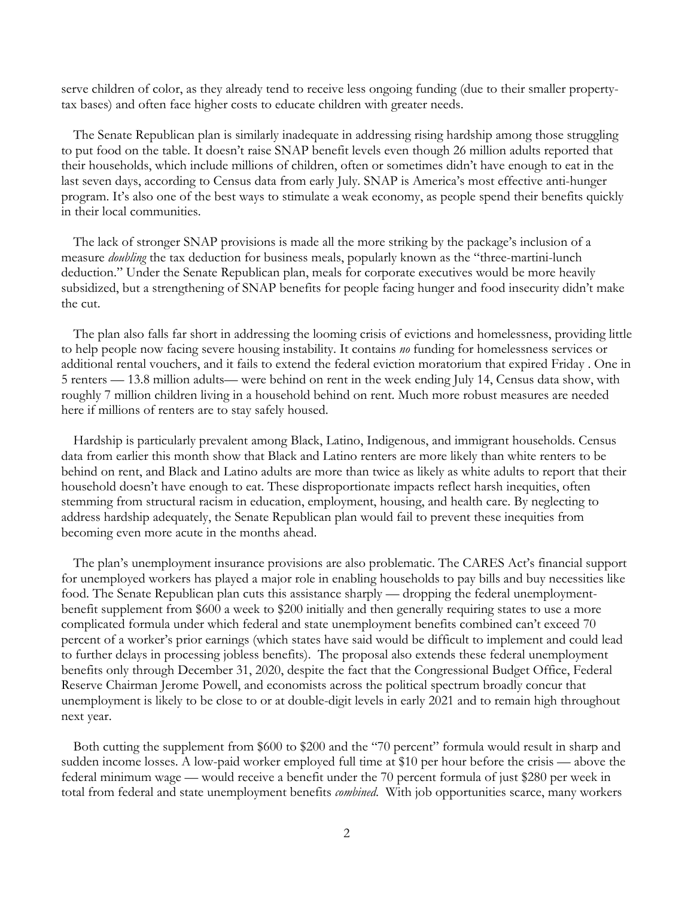serve children of color, as they already tend to receive less ongoing funding (due to their smaller propertytax bases) and often face higher costs to educate children with greater needs.

The Senate Republican plan is similarly inadequate in addressing rising hardship among those struggling to put food on the table. It doesn't raise SNAP benefit levels even though 26 million adults reported that their households, which include millions of children, often or sometimes didn't have enough to eat in the last seven days, according to Census data from early July. SNAP is America's most effective anti-hunger program. It's also one of the best ways to stimulate a weak economy, as people spend their benefits quickly in their local communities.

The lack of stronger SNAP provisions is made all the more striking by the package's inclusion of a measure *doubling* the tax deduction for business meals, popularly known as the "three-martini-lunch deduction." Under the Senate Republican plan, meals for corporate executives would be more heavily subsidized, but a strengthening of SNAP benefits for people facing hunger and food insecurity didn't make the cut.

The plan also falls far short in addressing the looming crisis of evictions and homelessness, providing little to help people now facing severe housing instability. It contains *no* funding for homelessness services or additional rental vouchers, and it fails to extend the federal eviction moratorium that expired Friday . One in 5 renters — 13.8 million adults— were behind on rent in the week ending July 14, Census data show, with roughly 7 million children living in a household behind on rent. Much more robust measures are needed here if millions of renters are to stay safely housed.

Hardship is particularly prevalent among Black, Latino, Indigenous, and immigrant households. Census data from earlier this month show that Black and Latino renters are more likely than white renters to be behind on rent, and Black and Latino adults are more than twice as likely as white adults to report that their household doesn't have enough to eat. These disproportionate impacts reflect harsh inequities, often stemming from structural racism in education, employment, housing, and health care. By neglecting to address hardship adequately, the Senate Republican plan would fail to prevent these inequities from becoming even more acute in the months ahead.

The plan's unemployment insurance provisions are also problematic. The CARES Act's financial support for unemployed workers has played a major role in enabling households to pay bills and buy necessities like food. The Senate Republican plan cuts this assistance sharply — dropping the federal unemploymentbenefit supplement from \$600 a week to \$200 initially and then generally requiring states to use a more complicated formula under which federal and state unemployment benefits combined can't exceed 70 percent of a worker's prior earnings (which states have said would be difficult to implement and could lead to further delays in processing jobless benefits). The proposal also extends these federal unemployment benefits only through December 31, 2020, despite the fact that the Congressional Budget Office, Federal Reserve Chairman Jerome Powell, and economists across the political spectrum broadly concur that unemployment is likely to be close to or at double-digit levels in early 2021 and to remain high throughout next year.

Both cutting the supplement from \$600 to \$200 and the "70 percent" formula would result in sharp and sudden income losses. A low-paid worker employed full time at \$10 per hour before the crisis — above the federal minimum wage — would receive a benefit under the 70 percent formula of just \$280 per week in total from federal and state unemployment benefits *combined*. With job opportunities scarce, many workers